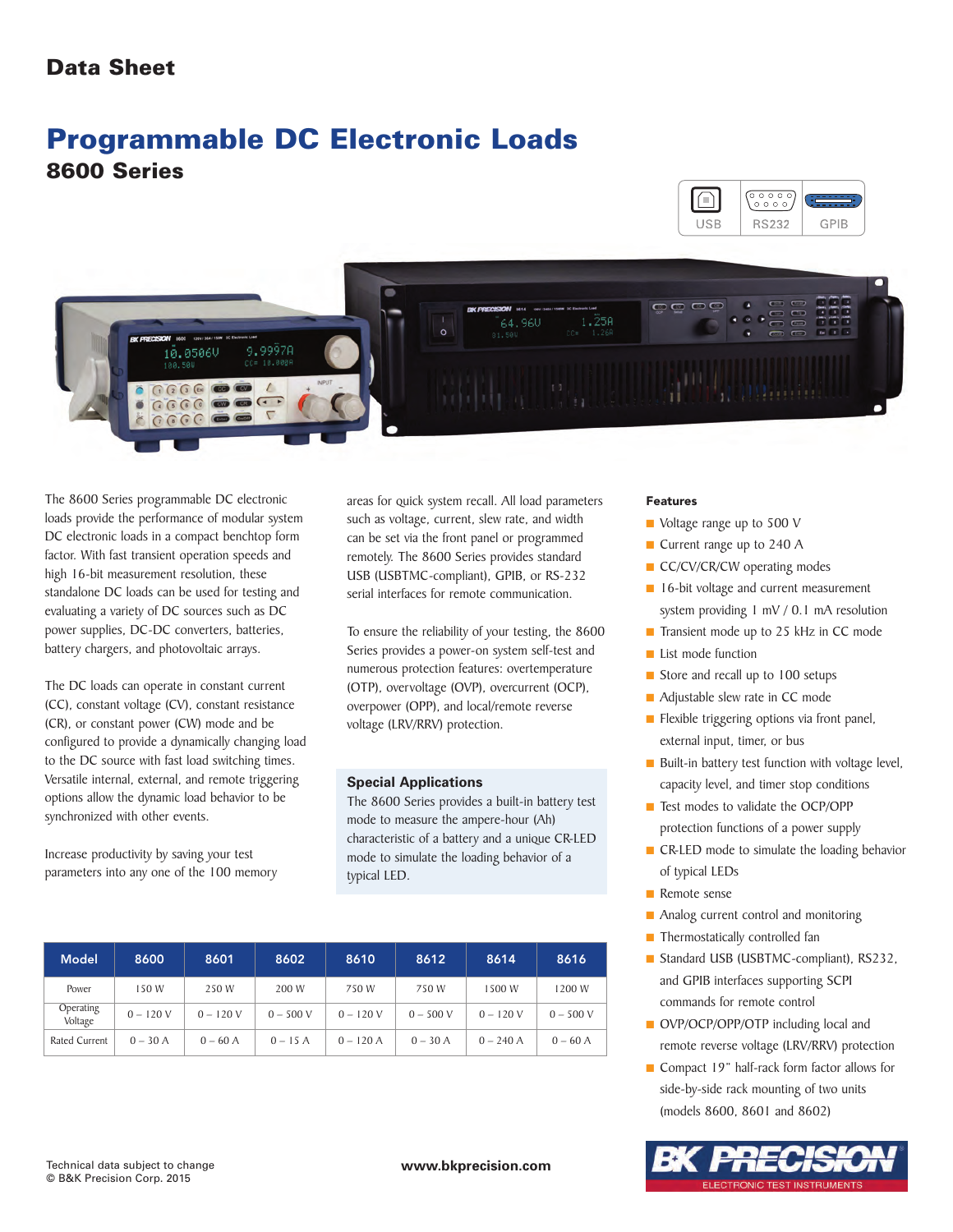# **Programmable DC Electronic Loads 8600 Series**





The 8600 Series programmable DC electronic loads provide the performance of modular system DC electronic loads in a compact benchtop form factor. With fast transient operation speeds and high 16-bit measurement resolution, these standalone DC loads can be used for testing and evaluating a variety of DC sources such as DC power supplies, DC-DC converters, batteries, battery chargers, and photovoltaic arrays.

The DC loads can operate in constant current (CC), constant voltage (CV), constant resistance (CR), or constant power (CW) mode and be configured to provide a dynamically changing load to the DC source with fast load switching times. Versatile internal, external, and remote triggering options allow the dynamic load behavior to be synchronized with other events.

Increase productivity by saving your test parameters into any one of the 100 memory areas for quick system recall. All load parameters such as voltage, current, slew rate, and width can be set via the front panel or programmed remotely. The 8600 Series provides standard USB (USBTMC-compliant), GPIB, or RS-232 serial interfaces for remote communication.

To ensure the reliability of your testing, the 8600 Series provides a power-on system self-test and numerous protection features: overtemperature (OTP), overvoltage (OVP), overcurrent (OCP), overpower (OPP), and local/remote reverse voltage (LRV/RRV) protection.

### **Special Applications**

The 8600 Series provides a built-in battery test mode to measure the ampere-hour (Ah) characteristic of a battery and a unique CR-LED mode to simulate the loading behavior of a typical LED.

| Model                | 8600       | 8601       | 8602        | 8610        | 8612        | 8614        | 8616        |
|----------------------|------------|------------|-------------|-------------|-------------|-------------|-------------|
| Power                | 150 W      | 250 W      | 200 W       | 750W        | 750 W       | 1500 W      | 1200 W      |
| Operating<br>Voltage | $0 - 120V$ | $0 - 120V$ | $0 - 500 V$ | $0 - 120V$  | $0 - 500 V$ | $0 - 120V$  | $0 - 500 V$ |
| Rated Current        | $0 - 30$ A | $0 - 60$ A | $0 - 15A$   | $0 - 120$ A | $0 - 30 A$  | $0 - 240$ A | $0 - 60$ A  |

#### Features

- Voltage range up to 500 V
- Current range up to 240 A
- **■** CC/CV/CR/CW operating modes
- 16-bit voltage and current measurement system providing 1 mV / 0.1 mA resolution
- Transient mode up to 25 kHz in CC mode
- List mode function
- Store and recall up to 100 setups
- Adjustable slew rate in CC mode
- **■** Flexible triggering options via front panel, external input, timer, or bus
- Built-in battery test function with voltage level, capacity level, and timer stop conditions
- Test modes to validate the OCP/OPP protection functions of a power supply
- CR-LED mode to simulate the loading behavior of typical LEDs
- Remote sense
- Analog current control and monitoring
- Thermostatically controlled fan
- **■** Standard USB (USBTMC-compliant), RS232, and GPIB interfaces supporting SCPI commands for remote control
- **■** OVP/OCP/OPP/OTP including local and remote reverse voltage (LRV/RRV) protection
- Compact 19" half-rack form factor allows for side-by-side rack mounting of two units (models 8600, 8601 and 8602)

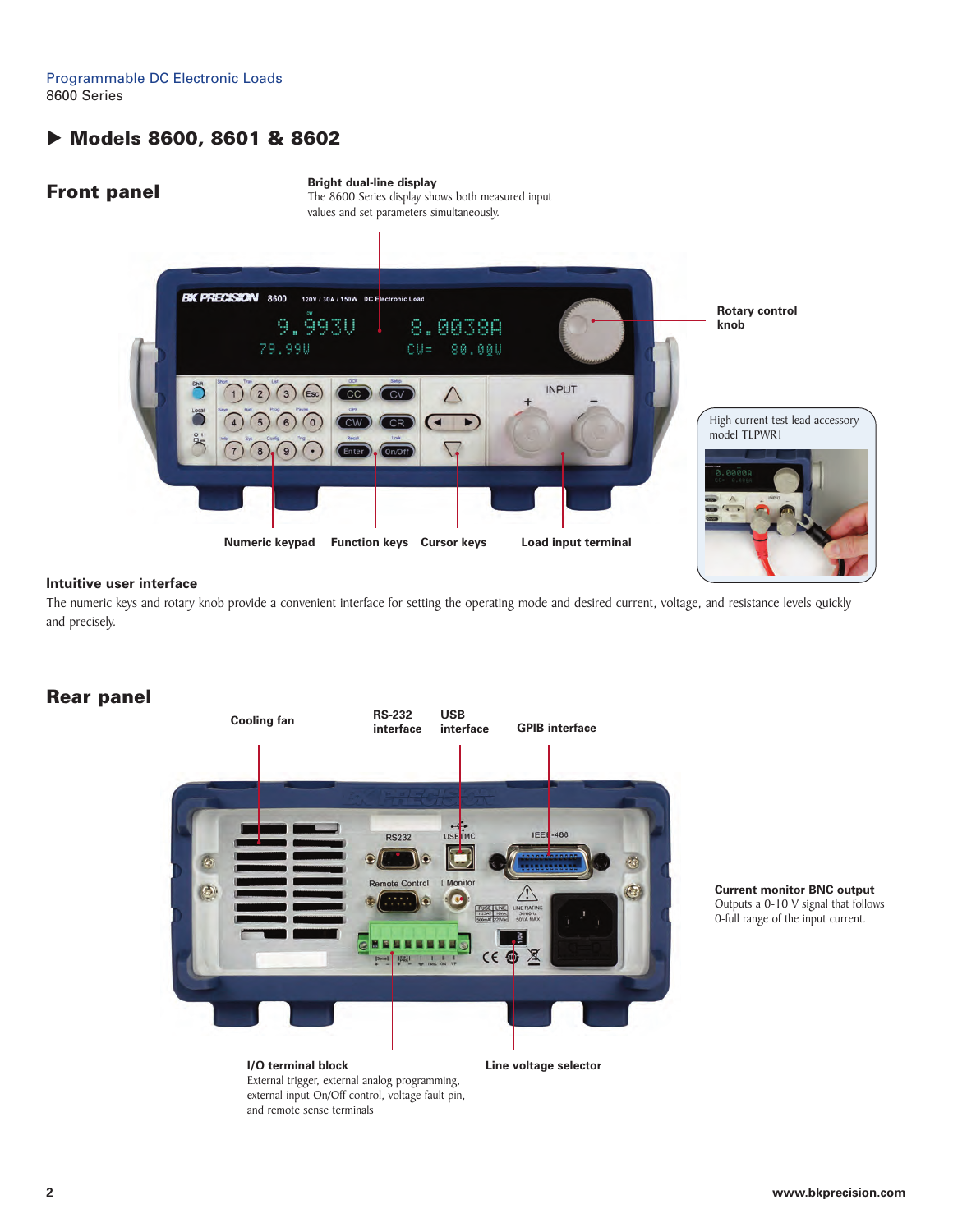Programmable DC Electronic Loads 8600 Series

# **Models 8600, 8601 & 8602**

## **Front panel**

**Bright dual-line display** The 8600 Series display shows both measured input



#### **Intuitive user interface**

The numeric keys and rotary knob provide a convenient interface for setting the operating mode and desired current, voltage, and resistance levels quickly and precisely.

# **Rear panel**



**Current monitor BNC output** Outputs a 0-10 V signal that follows 0-full range of the input current.

**I/O terminal block** External trigger, external analog programming, external input On/Off control, voltage fault pin, and remote sense terminals

**Line voltage selector**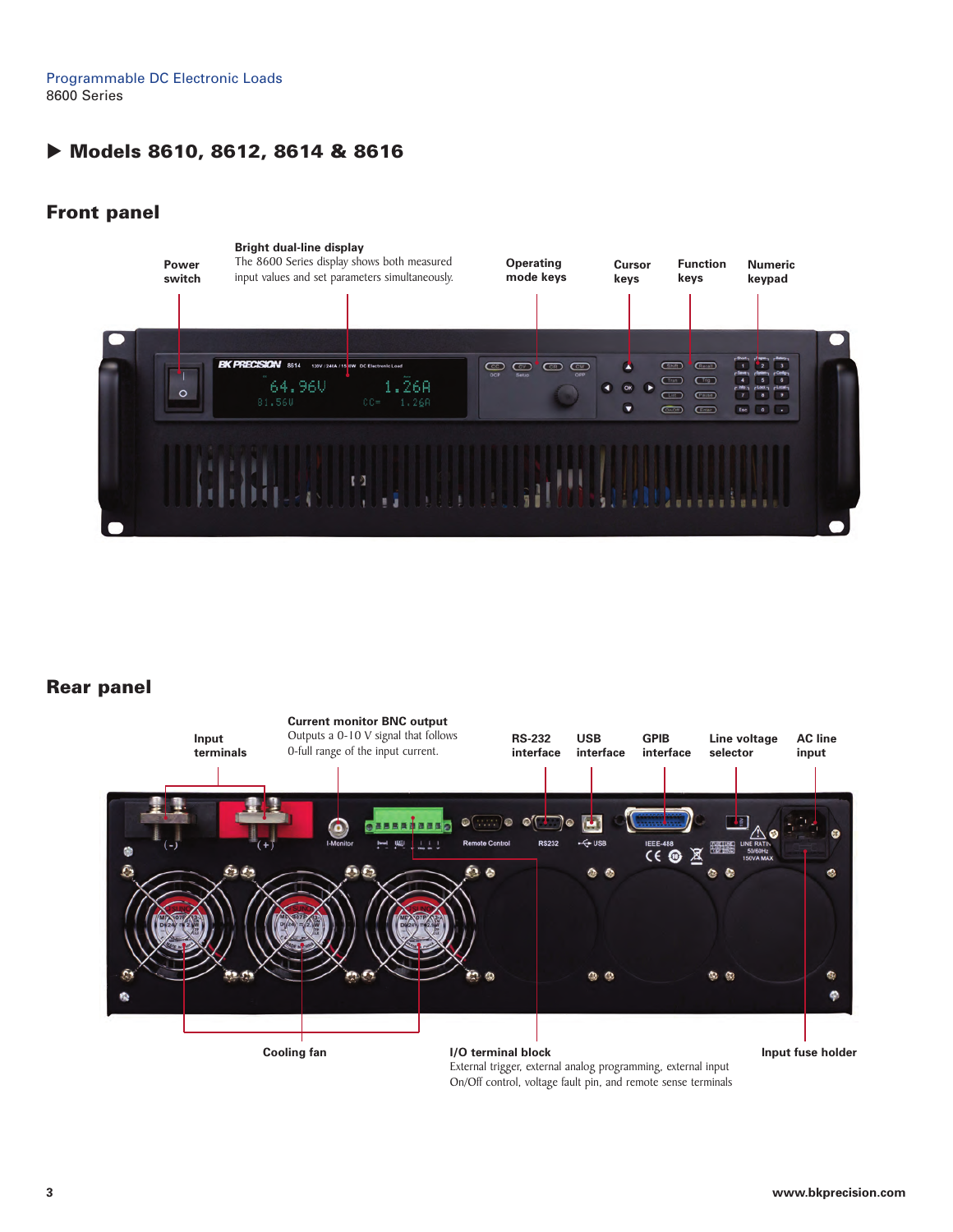Programmable DC Electronic Loads 8600 Series

# **Models 8610, 8612, 8614 & 8616**

# **Front panel**



# **Rear panel**



External trigger, external analog programming, external input On/Off control, voltage fault pin, and remote sense terminals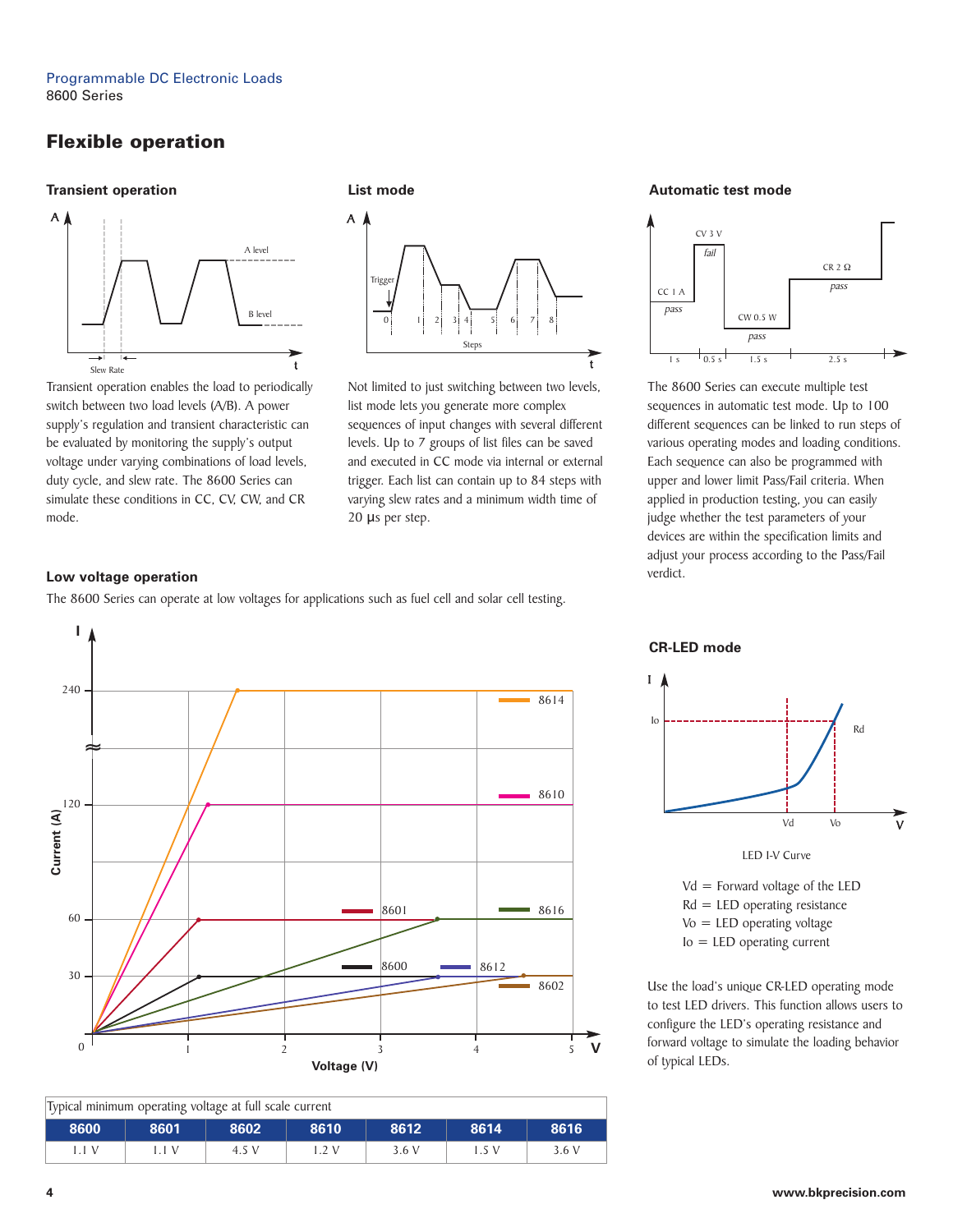# **Flexible operation**

#### **Transient operation**



Transient operation enables the load to periodically switch between two load levels (A/B). A power supply's regulation and transient characteristic can be evaluated by monitoring the supply's output voltage under varying combinations of load levels, duty cycle, and slew rate. The 8600 Series can simulate these conditions in CC, CV, CW, and CR mode.

**List mode**



Not limited to just switching between two levels, list mode lets you generate more complex sequences of input changes with several different levels. Up to 7 groups of list files can be saved and executed in CC mode via internal or external trigger. Each list can contain up to 84 steps with varying slew rates and a minimum width time of 20 μs per step.

#### **Automatic test mode**



The 8600 Series can execute multiple test sequences in automatic test mode. Up to 100 different sequences can be linked to run steps of various operating modes and loading conditions. Each sequence can also be programmed with upper and lower limit Pass/Fail criteria. When applied in production testing, you can easily judge whether the test parameters of your devices are within the specification limits and adjust your process according to the Pass/Fail verdict.

### **Low voltage operation**

The 8600 Series can operate at low voltages for applications such as fuel cell and solar cell testing.



| Typical minimum operating voltage at full scale current |      |              |       |       |       |       |  |  |
|---------------------------------------------------------|------|--------------|-------|-------|-------|-------|--|--|
| 8600                                                    | 8601 | 8602<br>8610 |       | 8612  | 8614  | 8616  |  |  |
| 1.1V                                                    |      | 4.5 V        | 1.2 V | 3.6 V | 1.5 V | 3.6 V |  |  |

**CR-LED mode**



 $Vd =$  Forward voltage of the LED Rd = LED operating resistance Vo = LED operating voltage Io = LED operating current

Use the load's unique CR-LED operating mode to test LED drivers. This function allows users to configure the LED's operating resistance and forward voltage to simulate the loading behavior of typical LEDs.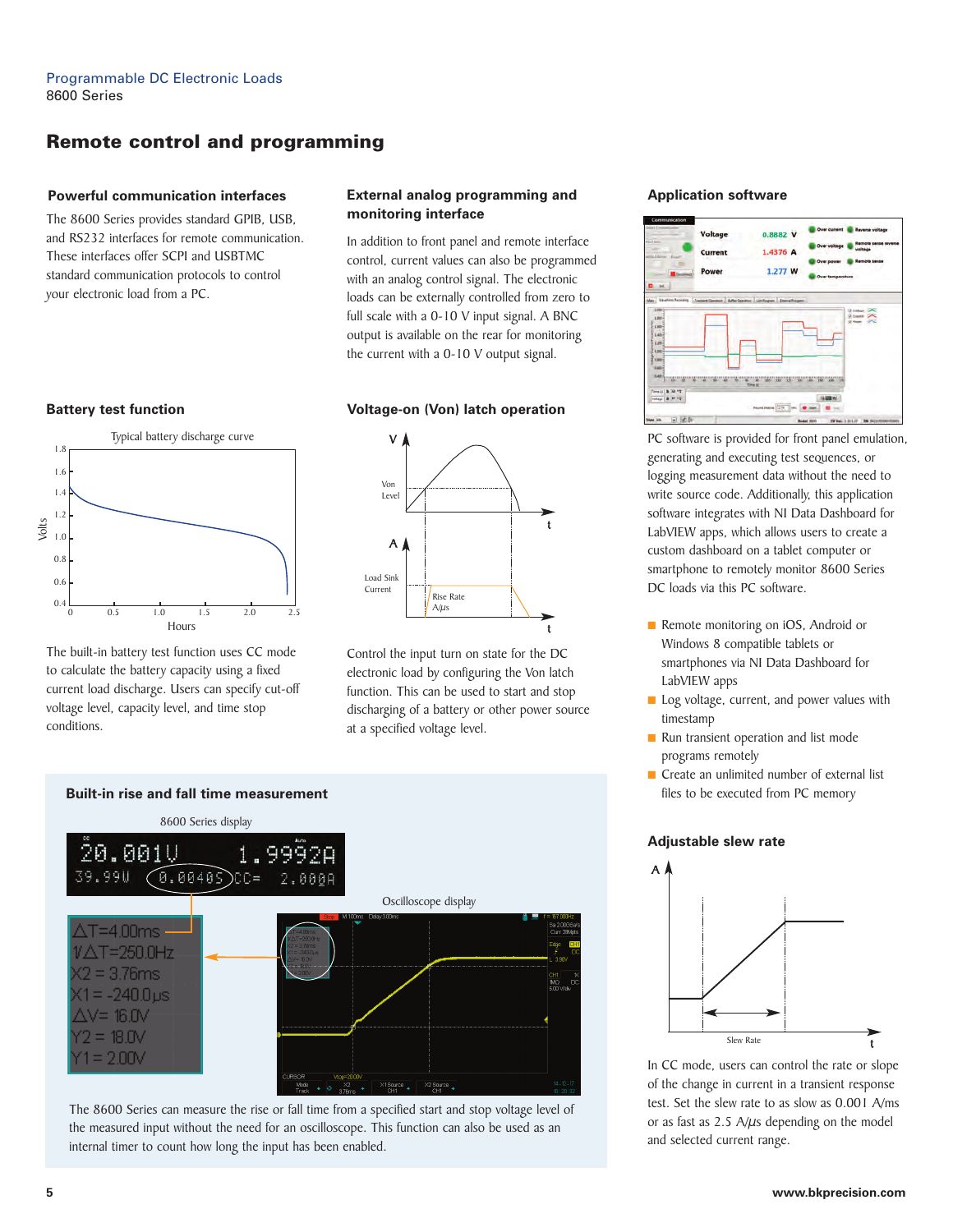# **Remote control and programming**

#### **Powerful communication interfaces**

The 8600 Series provides standard GPIB, USB, and RS232 interfaces for remote communication. These interfaces offer SCPI and USBTMC standard communication protocols to control your electronic load from a PC.



The built-in battery test function uses CC mode to calculate the battery capacity using a fixed current load discharge. Users can specify cut-off voltage level, capacity level, and time stop conditions.



In addition to front panel and remote interface control, current values can also be programmed with an analog control signal. The electronic loads can be externally controlled from zero to full scale with a 0-10 V input signal. A BNC output is available on the rear for monitoring the current with a 0-10 V output signal.

#### **Battery test function Voltage-on (Von) latch operation**



Control the input turn on state for the DC electronic load by configuring the Von latch function. This can be used to start and stop discharging of a battery or other power source at a specified voltage level.



The 8600 Series can measure the rise or fall time from a specified start and stop voltage level of the measured input without the need for an oscilloscope. This function can also be used as an internal timer to count how long the input has been enabled.

#### **Application software**



PC software is provided for front panel emulation, generating and executing test sequences, or logging measurement data without the need to write source code. Additionally, this application software integrates with NI Data Dashboard for LabVIEW apps, which allows users to create a custom dashboard on a tablet computer or smartphone to remotely monitor 8600 Series DC loads via this PC software.

- Remote monitoring on iOS, Android or Windows 8 compatible tablets or smartphones via NI Data Dashboard for LabVIEW apps
- Log voltage, current, and power values with timestamp
- Run transient operation and list mode programs remotely
- Create an unlimited number of external list files to be executed from PC memory

#### **Adjustable slew rate**



In CC mode, users can control the rate or slope of the change in current in a transient response test. Set the slew rate to as slow as 0.001 A/ms or as fast as  $2.5$  A/ $\mu$ s depending on the model and selected current range.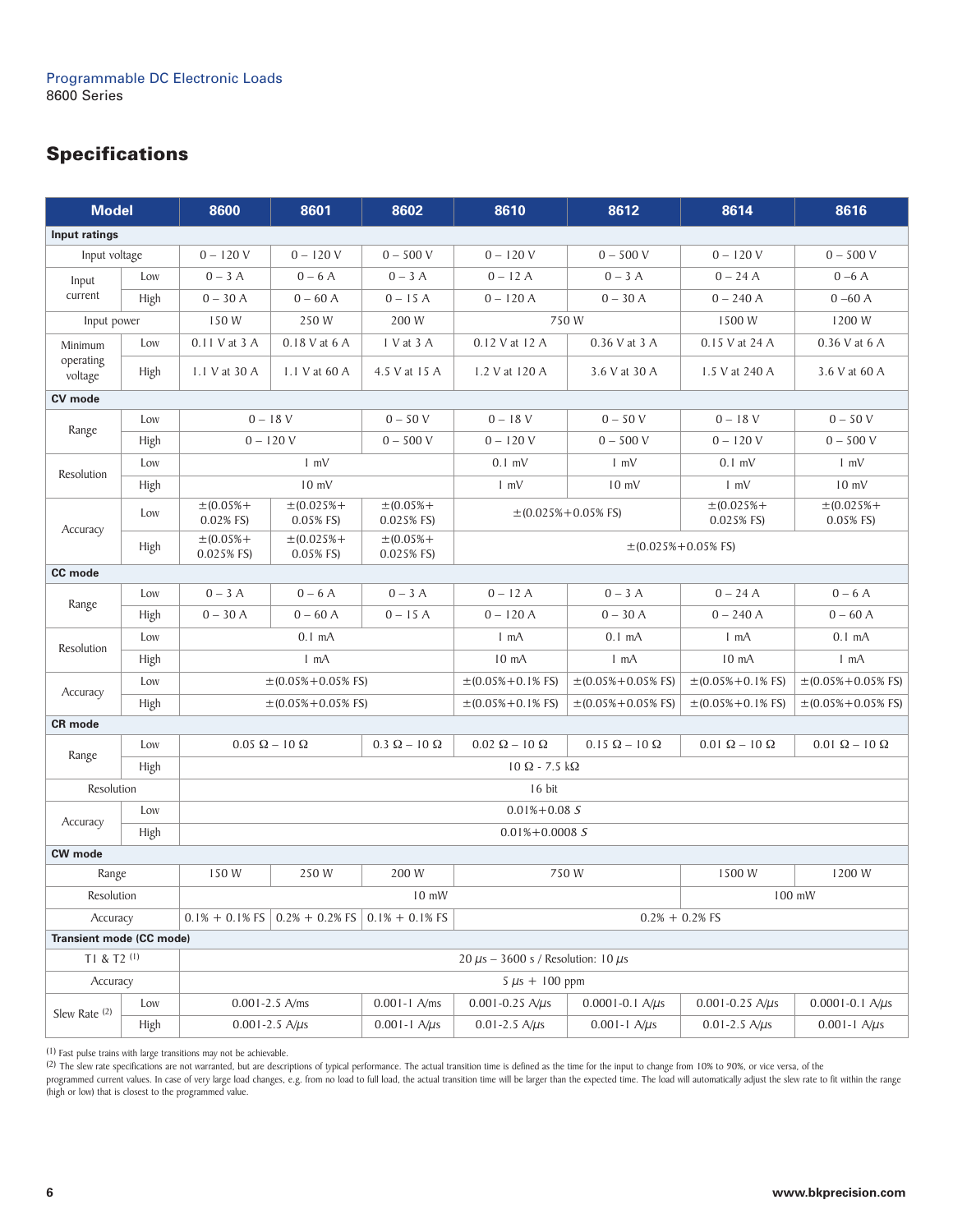# **Specifications**

| <b>Model</b>                    |      | 8600                                         | 8601                                                             | 8602                         | 8610                                | 8612                                | 8614                              | 8616                               |  |  |  |
|---------------------------------|------|----------------------------------------------|------------------------------------------------------------------|------------------------------|-------------------------------------|-------------------------------------|-----------------------------------|------------------------------------|--|--|--|
| Input ratings                   |      |                                              |                                                                  |                              |                                     |                                     |                                   |                                    |  |  |  |
| Input voltage                   |      | $0 - 120V$                                   | $0 - 120V$                                                       | $0 - 500 V$                  | $0 - 120V$                          | $0 - 500 V$                         | $0 - 120V$                        | $0 - 500 V$                        |  |  |  |
| Input<br>current                | Low  | $0-3A$                                       | $0 - 6A$                                                         | $0 - 3A$                     | $0 - 12A$                           | $0 - 3A$                            | $0 - 24A$                         | $0-6A$                             |  |  |  |
|                                 | High | $0 - 30A$                                    | $0 - 60$ A                                                       | $0 - 15A$                    | $0 - 120A$                          | $0 - 30A$                           | $0 - 240$ A                       | $0 - 60$ A                         |  |  |  |
| Input power                     |      | 150 W                                        | 250 W<br>200 W                                                   |                              | 750W                                |                                     | 1500W                             | 1200 W                             |  |  |  |
| Minimum<br>operating<br>voltage | Low  | $0.11$ V at $3$ A                            | 0.18 V at 6 A                                                    | I V at 3 A                   | 0.12 V at 12 A                      | 0.36 V at 3 A                       | 0.15 V at 24 A                    | 0.36 V at 6 A                      |  |  |  |
|                                 | High | 1.1 V at 30 A                                | $1.1$ V at 60 A                                                  | 4.5 V at 15 A                | 1.2 V at 120 A                      | 3.6 V at 30 A                       | 1.5 V at 240 A                    | 3.6 V at 60 A                      |  |  |  |
| CV mode                         |      |                                              |                                                                  |                              |                                     |                                     |                                   |                                    |  |  |  |
| Range                           | Low  | $0 - 18V$                                    |                                                                  | $0 - 50V$                    | $0 - 18V$                           | $0 - 50V$                           | $0 - 18V$                         | $0 - 50V$                          |  |  |  |
|                                 | High | $0 - 120V$                                   |                                                                  | $0 - 500 V$                  | $0 - 120V$                          | $0 - 500 V$                         | $0 - 120V$                        | $0 - 500 V$                        |  |  |  |
| Resolution                      | Low  |                                              | $1 \, \text{mV}$                                                 |                              | $0.1$ mV                            | $1 \text{ mV}$                      | $0.1$ mV                          | $1 \text{ mV}$                     |  |  |  |
|                                 | High |                                              | $10$ mV                                                          |                              | $1 \text{ mV}$                      | $10$ mV                             | $1 \text{ mV}$                    | $10 \text{ mV}$                    |  |  |  |
|                                 | Low  | $\pm (0.05% +$<br>0.02% FS)                  | $\pm (0.025% +$<br>0.05% FS)                                     | $\pm (0.05% +$<br>0.025% FS) | $\pm (0.025\% + 0.05\% \text{ FS})$ |                                     | $\pm (0.025% +$<br>0.025% FS)     | $\pm (0.025\% +$<br>0.05% FS)      |  |  |  |
| Accuracy<br>High                |      | $\pm (0.05% +$<br>0.025% FS)                 | $\pm (0.025% +$<br>0.05% FS)                                     | $\pm (0.05% +$<br>0.025% FS) |                                     | $\pm (0.025\% + 0.05\% \text{ FS})$ |                                   |                                    |  |  |  |
| CC mode                         |      |                                              |                                                                  |                              |                                     |                                     |                                   |                                    |  |  |  |
| Range                           | Low  | $0-3A$                                       | $0 - 6A$                                                         | $0 - 3A$                     | $0 - 12A$                           | $0 - 3A$                            | $0 - 24A$                         | $0 - 6A$                           |  |  |  |
|                                 | High | $0 - 30A$                                    | $0 - 60$ A                                                       | $0 - 15A$                    | $0 - 120A$                          | $0 - 30A$                           | $0 - 240$ A                       | $0 - 60$ A                         |  |  |  |
| Resolution                      | Low  | $0.1 \text{ mA}$                             |                                                                  |                              | $1 \text{ mA}$                      | $0.1 \text{ mA}$                    | 1 mA                              | $0.1 \text{ mA}$                   |  |  |  |
|                                 | High | 1 mA                                         |                                                                  |                              | 10 <sub>mA</sub>                    | 1 mA                                | 10 <sub>mA</sub>                  | $1 \text{ mA}$                     |  |  |  |
| Accuracy                        | Low  | $\pm (0.05\% + 0.05\% )$ FS)                 |                                                                  |                              | $\pm (0.05\% + 0.1\%$ FS)           | $\pm (0.05\% + 0.05\% \text{ FS})$  | $\pm (0.05\% + 0.1\% \text{ FS})$ | $\pm (0.05\% + 0.05\% \text{ FS})$ |  |  |  |
|                                 | High | $\pm (0.05\% + 0.05\% \text{ FS})$           |                                                                  |                              | $\pm (0.05\% + 0.1\% \text{ FS})$   | $\pm (0.05\% + 0.05\% \text{ FS})$  | $\pm (0.05\% + 0.1\%$ FS)         | $\pm (0.05\% + 0.05\% \text{ FS})$ |  |  |  |
| <b>CR</b> mode                  |      |                                              |                                                                  |                              |                                     |                                     |                                   |                                    |  |  |  |
| Range                           | Low  | $0.05 \Omega - 10 \Omega$                    |                                                                  | $0.3 \Omega - 10 \Omega$     | $0.02 \Omega - 10 \Omega$           | $0.15 \Omega - 10 \Omega$           | $0.01 \Omega - 10 \Omega$         | $0.01 \Omega - 10 \Omega$          |  |  |  |
|                                 | High | $10 \Omega - 7.5 k\Omega$                    |                                                                  |                              |                                     |                                     |                                   |                                    |  |  |  |
| Resolution                      |      |                                              |                                                                  |                              | 16 bit                              |                                     |                                   |                                    |  |  |  |
| Accuracy                        | Low  | $0.01\% + 0.08S$                             |                                                                  |                              |                                     |                                     |                                   |                                    |  |  |  |
|                                 | High | $0.01\% + 0.0008$ S                          |                                                                  |                              |                                     |                                     |                                   |                                    |  |  |  |
| <b>CW</b> mode                  |      |                                              |                                                                  |                              |                                     |                                     |                                   |                                    |  |  |  |
| Range                           |      | 150 W                                        | 250 W                                                            | 200 W                        |                                     | 750W                                | 1500 W                            | 1200 W                             |  |  |  |
| Resolution                      |      |                                              |                                                                  | $10$ mW                      | 100 mW                              |                                     |                                   |                                    |  |  |  |
| Accuracy                        |      |                                              | $0.1\% + 0.1\%$ FS $\vert$ 0.2% + 0.2% FS $\vert$ 0.1% + 0.1% FS |                              | $0.2\% + 0.2\%$ FS                  |                                     |                                   |                                    |  |  |  |
| Transient mode (CC mode)        |      |                                              |                                                                  |                              |                                     |                                     |                                   |                                    |  |  |  |
| T1 & T2 (1)                     |      | 20 $\mu$ s - 3600 s / Resolution: 10 $\mu$ s |                                                                  |                              |                                     |                                     |                                   |                                    |  |  |  |
| Accuracy                        |      | $5 \mu s + 100 \text{ ppm}$                  |                                                                  |                              |                                     |                                     |                                   |                                    |  |  |  |
| Slew Rate (2)                   | Low  | $0.001 - 2.5$ A/ms                           |                                                                  | $0.001 - 1$ A/ms             | $0.001 - 0.25$ A/ $\mu$ s           | $0.0001 - 0.1$ A/ $\mu$ s           | $0.001 - 0.25$ A/ $\mu$ s         | $0.0001 - 0.1$ A/ $\mu$ s          |  |  |  |
|                                 | High | $0.001 - 2.5$ A/ $\mu$ s                     |                                                                  | $0.001 - 1$ A/ $\mu$ s       | $0.01 - 2.5$ A/ $\mu$ s             | $0.001 - 1$ A/ $\mu$ s              | $0.01 - 2.5$ A/ $\mu$ s           | $0.001 - 1$ A/ $\mu$ s             |  |  |  |

(1) Fast pulse trains with large transitions may not be achievable.

 $^{(2)}$  The slew rate specifications are not warranted, but are descriptions of typical performance. The actual transition time is defined as the time for the input to change from 10% to 90%, or vice versa, of the

programmed current values. In case of very large load changes, e.g. from no load to full load, the actual transition time will be larger than the expected time. The load will automatically adjust the slew rate to fit withi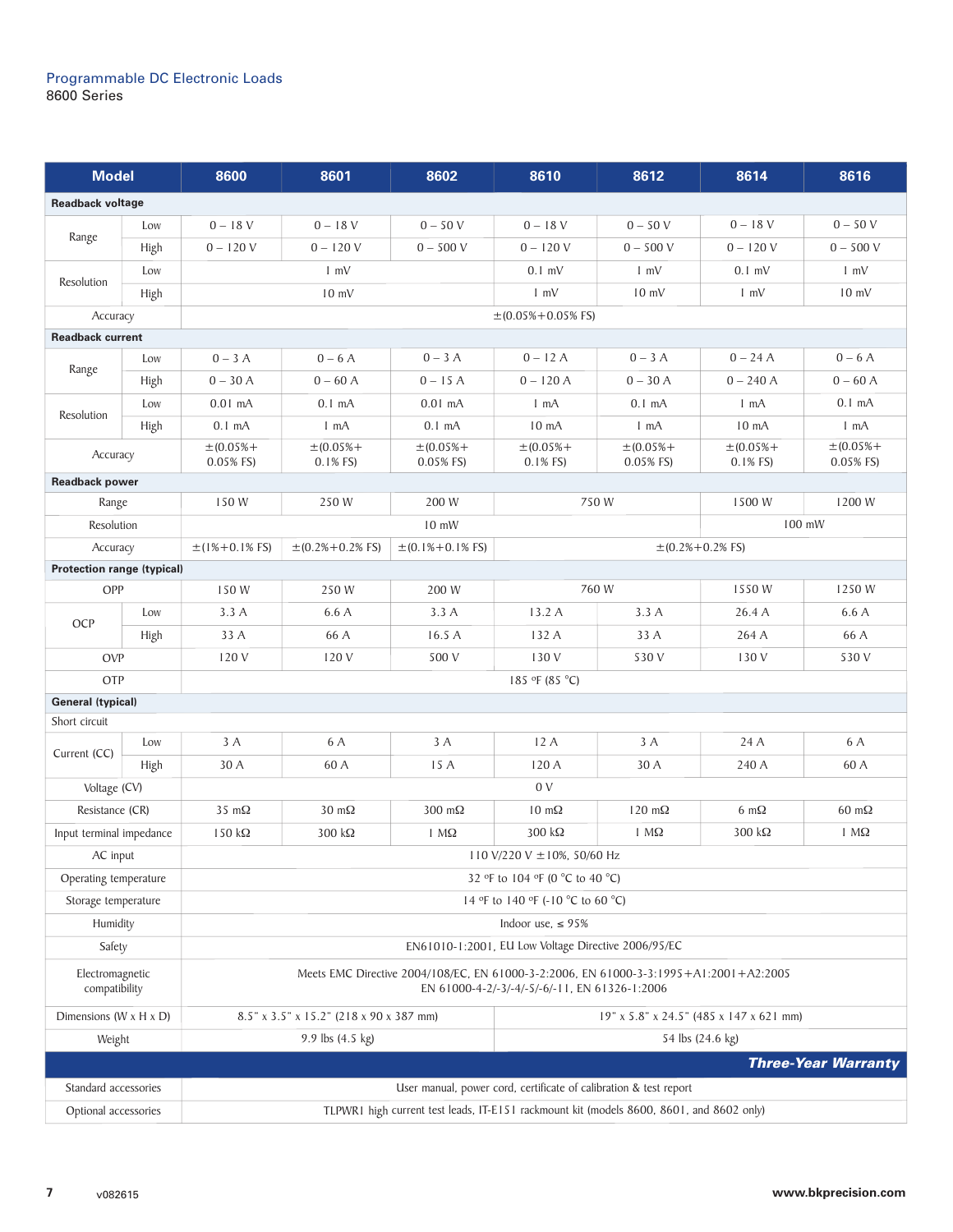| <b>Model</b>                         |      | 8600                                                                                                                                   | 8601                                                              | 8602                     | 8610                 | 8612             | 8614                     | 8616                       |  |  |
|--------------------------------------|------|----------------------------------------------------------------------------------------------------------------------------------------|-------------------------------------------------------------------|--------------------------|----------------------|------------------|--------------------------|----------------------------|--|--|
| <b>Readback voltage</b>              |      |                                                                                                                                        |                                                                   |                          |                      |                  |                          |                            |  |  |
|                                      | Low  | $0 - 18V$                                                                                                                              | $0 - 18 V$                                                        | $0 - 50V$                | $0 - 18V$            | $0 - 50V$        | $0 - 18V$                | $0 - 50V$                  |  |  |
| Range                                | High | $0 - 120V$                                                                                                                             | $0 - 120V$                                                        | $0 - 500 V$              | $0 - 120V$           | $0 - 500 V$      | $0 - 120V$               | $0 - 500 V$                |  |  |
| Resolution                           | Low  |                                                                                                                                        | $1 \text{ mV}$                                                    |                          | $0.1$ mV             | $1 \text{ mV}$   | $0.1$ mV                 | $1 \text{ mV}$             |  |  |
|                                      | High | $10 \text{ mV}$                                                                                                                        |                                                                   |                          | $1 \text{ mV}$       | $10$ mV          | $1 \, \text{mV}$         | $10 \text{ mV}$            |  |  |
| Accuracy                             |      | $\pm (0.05\% + 0.05\% \text{ FS})$                                                                                                     |                                                                   |                          |                      |                  |                          |                            |  |  |
| <b>Readback current</b>              |      |                                                                                                                                        |                                                                   |                          |                      |                  |                          |                            |  |  |
|                                      | Low  | $0-3A$                                                                                                                                 | $0 - 6A$                                                          | $0 - 3A$                 | $0 - 12A$            | $0 - 3A$         | $0 - 24A$                | $0 - 6A$                   |  |  |
| Range                                | High | $0 - 30A$                                                                                                                              | $0 - 60$ A                                                        | $0 - 15A$                | $0 - 120A$           | $0 - 30A$        | $0 - 240 A$              | $0 - 60$ A                 |  |  |
|                                      | Low  | $0.01$ mA                                                                                                                              | $0.1 \text{ mA}$                                                  | $0.01$ mA                | $1 \text{ mA}$       | $0.1 \text{ mA}$ | $1 \text{ mA}$           | $0.1 \text{ mA}$           |  |  |
| Resolution                           | High | $0.1 \text{ mA}$                                                                                                                       | $1 \text{ mA}$                                                    | $0.1 \text{ mA}$         | 10 <sub>m</sub> A    | 1 mA             | 10 <sub>mA</sub>         | 1 mA                       |  |  |
|                                      |      | $\pm (0.05% +$                                                                                                                         | $\pm (0.05% +$                                                    | $\pm (0.05% +$           | $\pm (0.05% +$       | $\pm (0.05% +$   | $\pm (0.05% +$           | $\pm (0.05% +$             |  |  |
| Accuracy                             |      | 0.05% FS)                                                                                                                              | $0.1%$ FS)                                                        | 0.05% FS)                | $0.1%$ FS)           | 0.05% FS)        | $0.1%$ FS)               | 0.05% FS)                  |  |  |
| <b>Readback power</b>                |      |                                                                                                                                        |                                                                   |                          |                      |                  |                          |                            |  |  |
| Range                                |      | 150 W                                                                                                                                  | 250 W                                                             | 200 W                    | 750W                 |                  | 1500 W                   | 1200 W                     |  |  |
| Resolution                           |      |                                                                                                                                        |                                                                   | $10$ mW                  |                      |                  | 100 mW                   |                            |  |  |
| Accuracy                             |      | $\pm(1\% + 0.1\% \text{ FS})$                                                                                                          | $\pm (0.2\% + 0.2\% \text{ FS})$                                  | $\pm (0.1\% + 0.1\%$ FS) |                      |                  | $\pm (0.2\% + 0.2\%$ FS) |                            |  |  |
| <b>Protection range (typical)</b>    |      |                                                                                                                                        |                                                                   |                          |                      |                  |                          |                            |  |  |
| OPP                                  |      | 150W                                                                                                                                   | 250 W                                                             | 200 W                    |                      | 760 W            | 1550W                    | 1250W                      |  |  |
| OCP                                  | Low  | 3.3A                                                                                                                                   | 6.6 A                                                             | 3.3A                     | 13.2A                | 3.3A             | 26.4 A                   | 6.6 A                      |  |  |
|                                      | High | 33 A                                                                                                                                   | 66 A                                                              | 16.5 A                   | 132A                 | 33 A             | 264 A                    | 66 A                       |  |  |
| <b>OVP</b>                           |      | 120 V                                                                                                                                  | 120 V                                                             | 500 V                    | 130 V                | 530 V            | 130 V                    | 530 V                      |  |  |
| OTP                                  |      | 185 °F (85 °C)                                                                                                                         |                                                                   |                          |                      |                  |                          |                            |  |  |
| <b>General (typical)</b>             |      |                                                                                                                                        |                                                                   |                          |                      |                  |                          |                            |  |  |
| Short circuit                        |      |                                                                                                                                        |                                                                   |                          |                      |                  |                          |                            |  |  |
| Current (CC)                         | Low  | 3 A                                                                                                                                    | 6 A                                                               | 3 A                      | 12A                  | 3 A              | 24 A                     | 6 A                        |  |  |
|                                      | High | 30 A                                                                                                                                   | 60 A                                                              | 15 A                     | 120 A                | 30 A             | 240 A                    | 60 A                       |  |  |
| Voltage (CV)                         |      | 0 <sub>V</sub>                                                                                                                         |                                                                   |                          |                      |                  |                          |                            |  |  |
| Resistance (CR)                      |      | $35 \text{ m}\Omega$                                                                                                                   | $30 \text{ m}\Omega$                                              | $300 \text{ m}\Omega$    | $10 \text{ m}\Omega$ | 120 $m\Omega$    | 6 m $\Omega$             | $60 \text{ m}\Omega$       |  |  |
| Input terminal impedance             |      | $150 k\Omega$                                                                                                                          | 300 kΩ                                                            | $1 M\Omega$              | $300 k\Omega$        | $1 M\Omega$      | $300 \text{ k}\Omega$    | $1 M\Omega$                |  |  |
| AC input                             |      | $110 \text{ V}/220 \text{ V} \pm 10\%$ , 50/60 Hz                                                                                      |                                                                   |                          |                      |                  |                          |                            |  |  |
| Operating temperature                |      | 32 °F to 104 °F (0 °C to 40 °C)                                                                                                        |                                                                   |                          |                      |                  |                          |                            |  |  |
| Storage temperature                  |      | 14 °F to 140 °F (-10 °C to 60 °C)                                                                                                      |                                                                   |                          |                      |                  |                          |                            |  |  |
| Humidity                             |      | Indoor use, $\leq$ 95%                                                                                                                 |                                                                   |                          |                      |                  |                          |                            |  |  |
| Safety                               |      | EN61010-1:2001, EU Low Voltage Directive 2006/95/EC                                                                                    |                                                                   |                          |                      |                  |                          |                            |  |  |
| Electromagnetic<br>compatibility     |      | Meets EMC Directive 2004/108/EC, EN 61000-3-2:2006, EN 61000-3-3:1995+A1:2001+A2:2005<br>EN 61000-4-2/-3/-4/-5/-6/-11, EN 61326-1:2006 |                                                                   |                          |                      |                  |                          |                            |  |  |
| Dimensions ( $W \times H \times D$ ) |      | 8.5" x 3.5" x 15.2" (218 x 90 x 387 mm)<br>19" x 5.8" x 24.5" (485 x 147 x 621 mm)                                                     |                                                                   |                          |                      |                  |                          |                            |  |  |
| Weight                               |      | 9.9 lbs (4.5 kg)<br>54 lbs (24.6 kg)                                                                                                   |                                                                   |                          |                      |                  |                          |                            |  |  |
|                                      |      |                                                                                                                                        |                                                                   |                          |                      |                  |                          | <b>Three-Year Warranty</b> |  |  |
| Standard accessories                 |      |                                                                                                                                        | User manual, power cord, certificate of calibration & test report |                          |                      |                  |                          |                            |  |  |
| Optional accessories                 |      | TLPWR1 high current test leads, IT-E151 rackmount kit (models 8600, 8601, and 8602 only)                                               |                                                                   |                          |                      |                  |                          |                            |  |  |